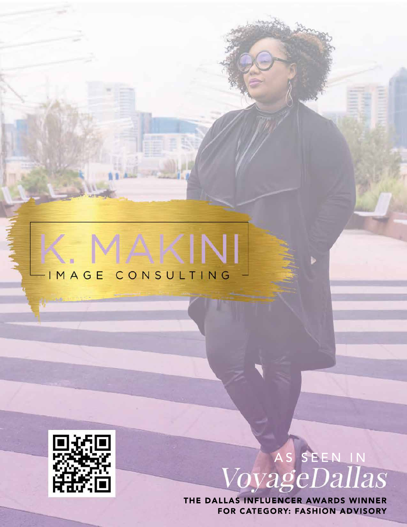1AKINI IMAGE CONSULTING



# AS SEEN IN

 THE DALLAS INFLUENCER AWARDS WINNER FOR CATEGORY: FASHION ADVISORY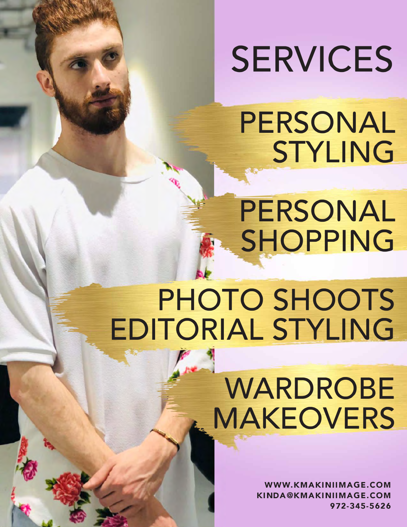## **SERVICES**

PERSONAL STYLING

PERSONAL **SHOPPING** 

#### **PHOTO SHOOTS EDITORIAL STYLING**

WARDROBE **MAKEOVERS** 

> WWW.KMAKINIIMAGE.COM KINDA@KMAKINIIMAGE.COM 972-345-5626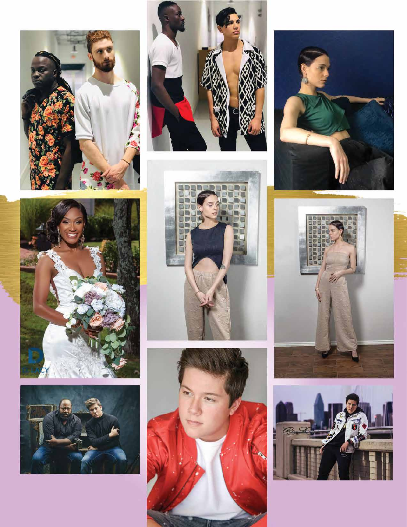















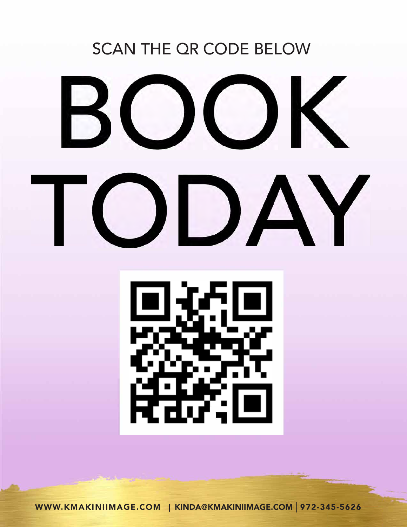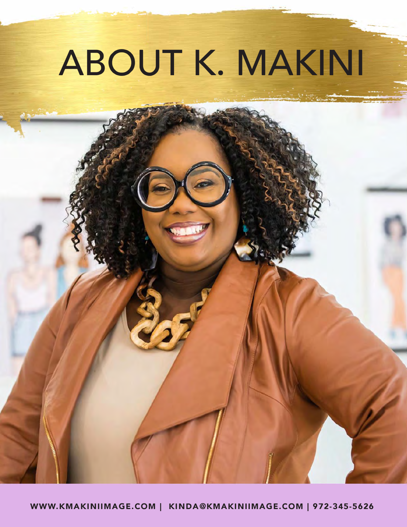## **ABOUT K. MAKINI**

WWW.KMAKINIIMAGE.COM | KINDA@KMAKINIIMAGE.COM | 972-345-5626